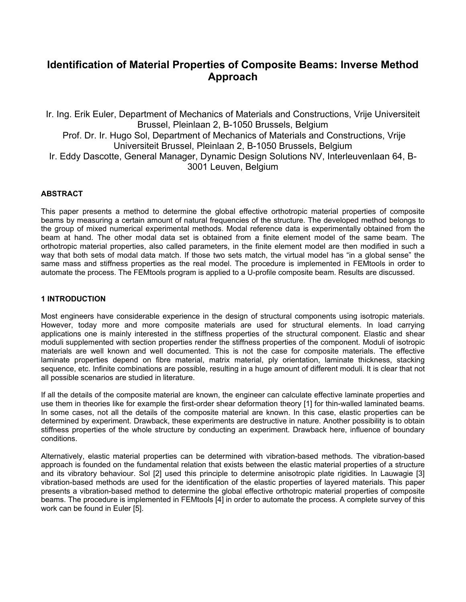# **Identification of Material Properties of Composite Beams: Inverse Method Approach**

Ir. Ing. Erik Euler, Department of Mechanics of Materials and Constructions, Vrije Universiteit Brussel, Pleinlaan 2, B-1050 Brussels, Belgium Prof. Dr. Ir. Hugo Sol, Department of Mechanics of Materials and Constructions, Vrije Universiteit Brussel, Pleinlaan 2, B-1050 Brussels, Belgium Ir. Eddy Dascotte, General Manager, Dynamic Design Solutions NV, Interleuvenlaan 64, B-3001 Leuven, Belgium

# **ABSTRACT**

This paper presents a method to determine the global effective orthotropic material properties of composite beams by measuring a certain amount of natural frequencies of the structure. The developed method belongs to the group of mixed numerical experimental methods. Modal reference data is experimentally obtained from the beam at hand. The other modal data set is obtained from a finite element model of the same beam. The orthotropic material properties, also called parameters, in the finite element model are then modified in such a way that both sets of modal data match. If those two sets match, the virtual model has "in a global sense" the same mass and stiffness properties as the real model. The procedure is implemented in FEMtools in order to automate the process. The FEMtools program is applied to a U-profile composite beam. Results are discussed.

## **1 INTRODUCTION**

Most engineers have considerable experience in the design of structural components using isotropic materials. However, today more and more composite materials are used for structural elements. In load carrying applications one is mainly interested in the stiffness properties of the structural component. Elastic and shear moduli supplemented with section properties render the stiffness properties of the component. Moduli of isotropic materials are well known and well documented. This is not the case for composite materials. The effective laminate properties depend on fibre material, matrix material, ply orientation, laminate thickness, stacking sequence, etc. Infinite combinations are possible, resulting in a huge amount of different moduli. It is clear that not all possible scenarios are studied in literature.

If all the details of the composite material are known, the engineer can calculate effective laminate properties and use them in theories like for example the first-order shear deformation theory [1] for thin-walled laminated beams. In some cases, not all the details of the composite material are known. In this case, elastic properties can be determined by experiment. Drawback, these experiments are destructive in nature. Another possibility is to obtain stiffness properties of the whole structure by conducting an experiment. Drawback here, influence of boundary conditions.

Alternatively, elastic material properties can be determined with vibration-based methods. The vibration-based approach is founded on the fundamental relation that exists between the elastic material properties of a structure and its vibratory behaviour. Sol [2] used this principle to determine anisotropic plate rigidities. In Lauwagie [3] vibration-based methods are used for the identification of the elastic properties of layered materials. This paper presents a vibration-based method to determine the global effective orthotropic material properties of composite beams. The procedure is implemented in FEMtools [4] in order to automate the process. A complete survey of this work can be found in Euler [5].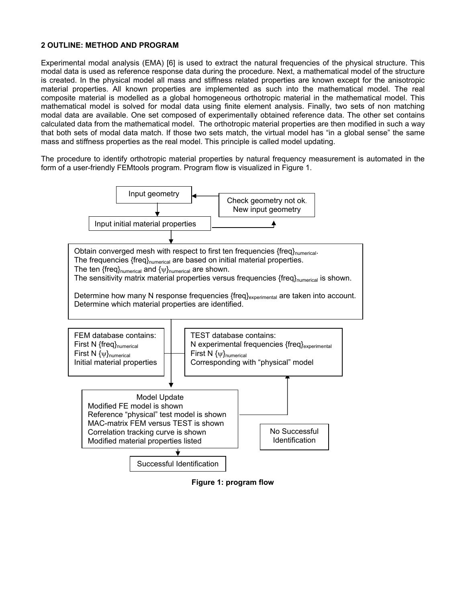## **2 OUTLINE: METHOD AND PROGRAM**

Experimental modal analysis (EMA) [6] is used to extract the natural frequencies of the physical structure. This modal data is used as reference response data during the procedure. Next, a mathematical model of the structure is created. In the physical model all mass and stiffness related properties are known except for the anisotropic material properties. All known properties are implemented as such into the mathematical model. The real composite material is modelled as a global homogeneous orthotropic material in the mathematical model. This mathematical model is solved for modal data using finite element analysis. Finally, two sets of non matching modal data are available. One set composed of experimentally obtained reference data. The other set contains calculated data from the mathematical model. The orthotropic material properties are then modified in such a way that both sets of modal data match. If those two sets match, the virtual model has "in a global sense" the same mass and stiffness properties as the real model. This principle is called model updating.

The procedure to identify orthotropic material properties by natural frequency measurement is automated in the form of a user-friendly FEMtools program. Program flow is visualized in Figure 1.



**Figure 1: program flow**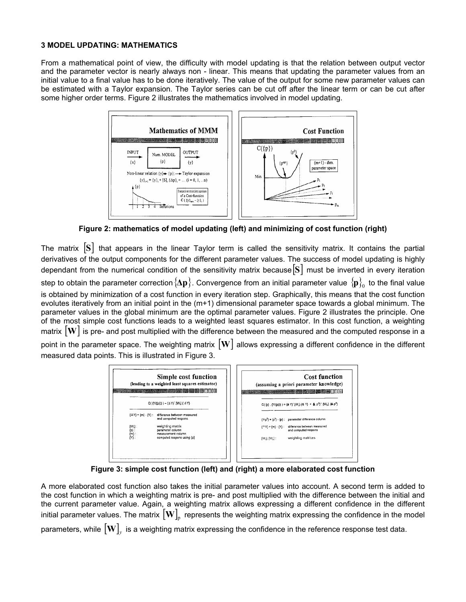#### **3 MODEL UPDATING: MATHEMATICS**

From a mathematical point of view, the difficulty with model updating is that the relation between output vector and the parameter vector is nearly always non - linear. This means that updating the parameter values from an initial value to a final value has to be done iteratively. The value of the output for some new parameter values can be estimated with a Taylor expansion. The Taylor series can be cut off after the linear term or can be cut after some higher order terms. Figure 2 illustrates the mathematics involved in model updating.



**Figure 2: mathematics of model updating (left) and minimizing of cost function (right)** 

The matrix  $|S|$  that appears in the linear Taylor term is called the sensitivity matrix. It contains the partial derivatives of the output components for the different parameter values. The success of model updating is highly dependant from the numerical condition of the sensitivity matrix because [**S**] must be inverted in every iteration  $\bf s$ tep to obtain the parameter correction  $\bf\Delta p$  . Convergence from an initial parameter value  $\bf\{p}_0^1$  to the final value is obtained by minimization of a cost function in every iteration step. Graphically, this means that the cost function evolutes iteratively from an initial point in the (m+1) dimensional parameter space towards a global minimum. The parameter values in the global minimum are the optimal parameter values. Figure 2 illustrates the principle. One of the most simple cost functions leads to a weighted least squares estimator. In this cost function, a weighting matrix  $|\mathbf{W}|$  is pre- and post multiplied with the difference between the measured and the computed response in a point in the parameter space. The weighting matrix [**W**] allows expressing a different confidence in the different measured data points. This is illustrated in Figure 3.



**Figure 3: simple cost function (left) and (right) a more elaborated cost function** 

A more elaborated cost function also takes the initial parameter values into account. A second term is added to the cost function in which a weighting matrix is pre- and post multiplied with the difference between the initial and the current parameter value. Again, a weighting matrix allows expressing a different confidence in the different initial parameter values. The matrix  $\left[\mathbf{W}\right]_{p}$  represents the weighting matrix expressing the confidence in the model parameters, while  $\left[\mathbf{W}\right]_{y}$  is a weighting matrix expressing the confidence in the reference response test data.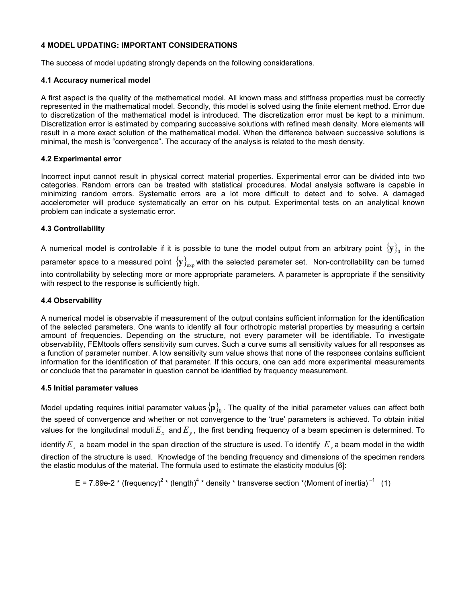## **4 MODEL UPDATING: IMPORTANT CONSIDERATIONS**

The success of model updating strongly depends on the following considerations.

## **4.1 Accuracy numerical model**

A first aspect is the quality of the mathematical model. All known mass and stiffness properties must be correctly represented in the mathematical model. Secondly, this model is solved using the finite element method. Error due to discretization of the mathematical model is introduced. The discretization error must be kept to a minimum. Discretization error is estimated by comparing successive solutions with refined mesh density. More elements will result in a more exact solution of the mathematical model. When the difference between successive solutions is minimal, the mesh is "convergence". The accuracy of the analysis is related to the mesh density.

## **4.2 Experimental error**

Incorrect input cannot result in physical correct material properties. Experimental error can be divided into two categories. Random errors can be treated with statistical procedures. Modal analysis software is capable in minimizing random errors. Systematic errors are a lot more difficult to detect and to solve. A damaged accelerometer will produce systematically an error on his output. Experimental tests on an analytical known problem can indicate a systematic error.

## **4.3 Controllability**

A numerical model is controllable if it is possible to tune the model output from an arbitrary point  $\{y\}_0$  in the parameter space to a measured point  $\{y\}_{\rm exp}$  with the selected parameter set. Non-controllability can be turned into controllability by selecting more or more appropriate parameters. A parameter is appropriate if the sensitivity with respect to the response is sufficiently high.

## **4.4 Observability**

A numerical model is observable if measurement of the output contains sufficient information for the identification of the selected parameters. One wants to identify all four orthotropic material properties by measuring a certain amount of frequencies. Depending on the structure, not every parameter will be identifiable. To investigate observability, FEMtools offers sensitivity sum curves. Such a curve sums all sensitivity values for all responses as a function of parameter number. A low sensitivity sum value shows that none of the responses contains sufficient information for the identification of that parameter. If this occurs, one can add more experimental measurements or conclude that the parameter in question cannot be identified by frequency measurement.

#### **4.5 Initial parameter values**

Model updating requires initial parameter values  ${p}_{0}$ . The quality of the initial parameter values can affect both the speed of convergence and whether or not convergence to the 'true' parameters is achieved. To obtain initial values for the longitudinal moduli $E_x^+$  and  $E_y^+$ , the first bending frequency of a beam specimen is determined. To identify  $E_x$  a beam model in the span direction of the structure is used. To identify  $E_y$  a beam model in the width direction of the structure is used. Knowledge of the bending frequency and dimensions of the specimen renders the elastic modulus of the material. The formula used to estimate the elasticity modulus [6]:

E = 7.89e-2  $*$  (frequency)<sup>2</sup>  $*$  (length)<sup>4</sup>  $*$  density  $*$  transverse section  $*$ (Moment of inertia)<sup>-1</sup> (1)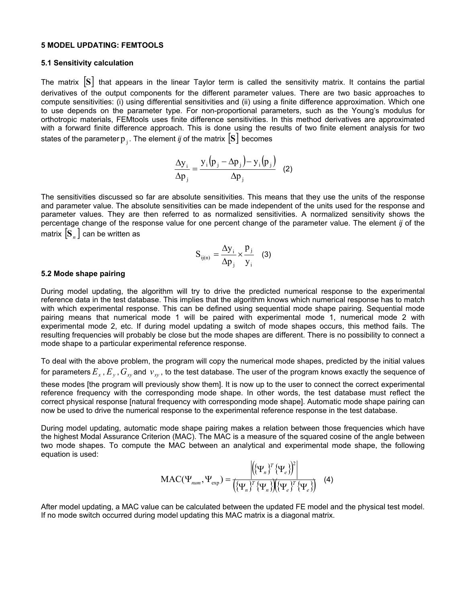#### **5 MODEL UPDATING: FEMTOOLS**

#### **5.1 Sensitivity calculation**

The matrix  $|S|$  that appears in the linear Taylor term is called the sensitivity matrix. It contains the partial derivatives of the output components for the different parameter values. There are two basic approaches to compute sensitivities: (i) using differential sensitivities and (ii) using a finite difference approximation. Which one to use depends on the parameter type. For non-proportional parameters, such as the Young's modulus for orthotropic materials, FEMtools uses finite difference sensitivities. In this method derivatives are approximated with a forward finite difference approach. This is done using the results of two finite element analysis for two states of the parameter $\bm{{\mathsf{p}}}_\text{j}$  . The element *ij* of the matrix  $\begin{bmatrix} \textbf{S} \end{bmatrix}$  becomes

$$
\frac{\Delta y_i}{\Delta p_j} = \frac{y_i (p_j - \Delta p_j) - y_i (p_j)}{\Delta p_j}
$$
 (2)

The sensitivities discussed so far are absolute sensitivities. This means that they use the units of the response and parameter value. The absolute sensitivities can be made independent of the units used for the response and parameter values. They are then referred to as normalized sensitivities. A normalized sensitivity shows the percentage change of the response value for one percent change of the parameter value. The element *ij* of the matrix  $|S_n|$  can be written as

$$
S_{ij(n)} = \frac{\Delta y_i}{\Delta p_j} \times \frac{p_j}{y_i}
$$
 (3)

#### **5.2 Mode shape pairing**

During model updating, the algorithm will try to drive the predicted numerical response to the experimental reference data in the test database. This implies that the algorithm knows which numerical response has to match with which experimental response. This can be defined using sequential mode shape pairing. Sequential mode pairing means that numerical mode 1 will be paired with experimental mode 1, numerical mode 2 with experimental mode 2, etc. If during model updating a switch of mode shapes occurs, this method fails. The resulting frequencies will probably be close but the mode shapes are different. There is no possibility to connect a mode shape to a particular experimental reference response.

To deal with the above problem, the program will copy the numerical mode shapes, predicted by the initial values for parameters  $E_x$  ,  $E_y$  ,  $G_{xy}$  and  $\,v_{xy}$  , to the test database. The user of the program knows exactly the sequence of these modes [the program will previously show them]. It is now up to the user to connect the correct experimental reference frequency with the corresponding mode shape. In other words, the test database must reflect the correct physical response [natural frequency with corresponding mode shape]. Automatic mode shape pairing can now be used to drive the numerical response to the experimental reference response in the test database.

During model updating, automatic mode shape pairing makes a relation between those frequencies which have the highest Modal Assurance Criterion (MAC). The MAC is a measure of the squared cosine of the angle between two mode shapes. To compute the MAC between an analytical and experimental mode shape, the following equation is used:

$$
\text{MAC}(\Psi_{num}, \Psi_{exp}) = \frac{\left| \left( {\{\Psi_n}\}^T {\{\Psi_e}\} \right)^2 \right|}{\left( {\{\Psi_n}\}^T {\{\Psi_n}\} \left( {\{\Psi_e}\}^T {\{\Psi_e}\} \right)^2 \right|} \quad (4)
$$

After model updating, a MAC value can be calculated between the updated FE model and the physical test model. If no mode switch occurred during model updating this MAC matrix is a diagonal matrix.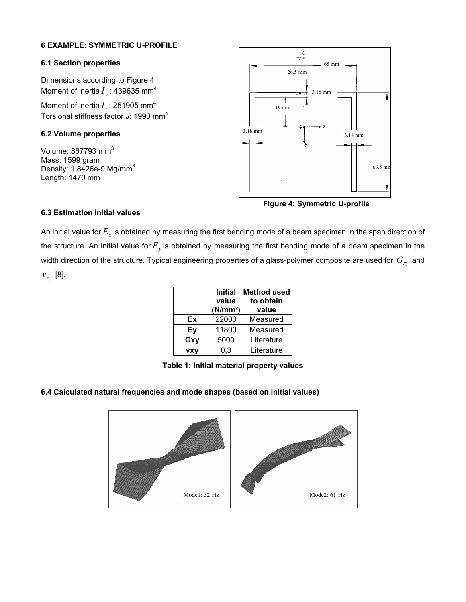# **6 EXAMPLE: SYMMETRIC U-PROFILE**

#### **6.1 Section properties**

Dimensions according to Figure 4 Moment of inertia  $I_{\nu}$  : 439635 mm<sup>4</sup>

Moment of inertia  $I_z$ : 251905 mm<sup>4</sup> Torsional stiffness factor J: 1990 mm<sup>4</sup>

# **6.2 Volume properties**

Volume: 867793 mm<sup>3</sup> Mass: 1599 gram Density:  $1.8426e-9$  Mg/mm<sup>3</sup> Length: 1470 mm



 **Figure 4: Symmetric U-profile** 

# **6.3 Estimation initial values**

An initial value for  $E_{x}$  is obtained by measuring the first bending mode of a beam specimen in the span direction of the structure. An initial value for  $E_y$  is obtained by measuring the first bending mode of a beam specimen in the width direction of the structure. Typical engineering properties of a glass-polymer composite are used for  $\,G_{_{X\!Y}}\,$  and  $v_{xy}$  [8].

|            | <b>Initial</b><br>value<br>(N/mm <sup>2</sup> ) | <b>Method used</b><br>to obtain<br>value |
|------------|-------------------------------------------------|------------------------------------------|
| Ex         | 22000                                           | Measured                                 |
| Ey         | 11800                                           | Measured                                 |
| Gxy        | 5000                                            | Literature                               |
| <b>VXV</b> | 0.3                                             | Literature                               |

**Table 1: Initial material property values** 

# **6.4 Calculated natural frequencies and mode shapes (based on initial values)**

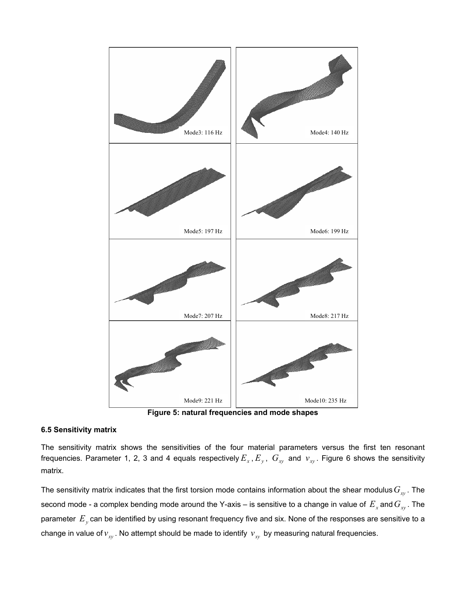

**Figure 5: natural frequencies and mode shapes** 

#### **6.5 Sensitivity matrix**

The sensitivity matrix shows the sensitivities of the four material parameters versus the first ten resonant frequencies. Parameter 1, 2, 3 and 4 equals respectively  $E_x$  ,  $E_y$  ,  $G_{xy}$  and  $v_{xy}$ . Figure 6 shows the sensitivity matrix.

The sensitivity matrix indicates that the first torsion mode contains information about the shear modulus  $G_{xy}$ . The second mode - a complex bending mode around the Y-axis – is sensitive to a change in value of  $E_{_X}$  and  $G_{_{X\!Y}}$  . The parameter  $E_{y}$  can be identified by using resonant frequency five and six. None of the responses are sensitive to a change in value of  $v_{xy}$ . No attempt should be made to identify  $v_{xy}$  by measuring natural frequencies.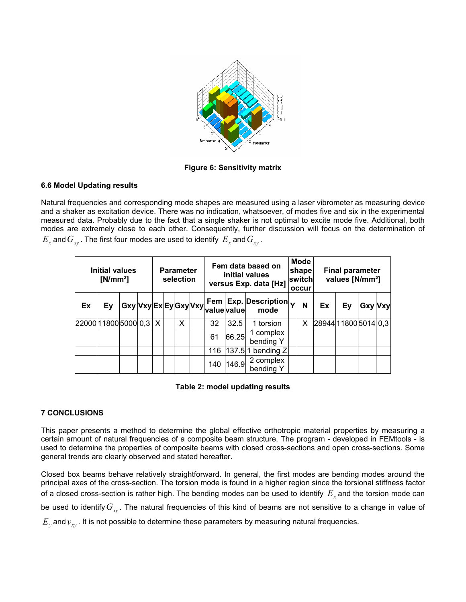

**Figure 6: Sensitivity matrix** 

# **6.6 Model Updating results**

Natural frequencies and corresponding mode shapes are measured using a laser vibrometer as measuring device and a shaker as excitation device. There was no indication, whatsoever, of modes five and six in the experimental measured data. Probably due to the fact that a single shaker is not optimal to excite mode five. Additional, both modes are extremely close to each other. Consequently, further discussion will focus on the determination of  $E_x$  and  $G_{xy}$ . The first four modes are used to identify  $E_x$  and  $G_{xy}$ .

| Initial values<br>$[N/mm^2]$ |    |  |  | <b>Parameter</b><br>selection |  |   |  | Fem data based on<br>initial values<br>versus Exp. data [Hz]          |       | <b>Mode</b><br>shape<br>switch<br>occur               |  | <b>Final parameter</b><br>values [N/mm <sup>2</sup> ] |                     |    |                |  |
|------------------------------|----|--|--|-------------------------------|--|---|--|-----------------------------------------------------------------------|-------|-------------------------------------------------------|--|-------------------------------------------------------|---------------------|----|----------------|--|
| Ex                           | Ey |  |  |                               |  |   |  | ∣ Gxy│Vxy│Ex│Ey│Gxy│Vxy│' प्याप् न्यान् ।<br>  Gxy│Vxy│Ex│Ey│Gxy│Vxy│ |       | $ $ Fem $ $ Exp. Description $ _{\mathbf{V}}$<br>mode |  | N                                                     | Ex                  | Ev | <b>Gxy Vxy</b> |  |
| 22000 11800 5000 0,3         |    |  |  | $\mathsf{X}$                  |  | X |  | 32                                                                    | 32.5  | torsion                                               |  | х                                                     | 28944 1800 5014 0.3 |    |                |  |
|                              |    |  |  |                               |  |   |  | 61                                                                    | 66.25 | 1 complex<br>bending Y                                |  |                                                       |                     |    |                |  |
|                              |    |  |  |                               |  |   |  | 116                                                                   |       | $137.5$ 1 bending Z                                   |  |                                                       |                     |    |                |  |
|                              |    |  |  |                               |  |   |  | 140                                                                   | 146.9 | 2 complex<br>bending Y                                |  |                                                       |                     |    |                |  |

# **Table 2: model updating results**

# **7 CONCLUSIONS**

This paper presents a method to determine the global effective orthotropic material properties by measuring a certain amount of natural frequencies of a composite beam structure. The program - developed in FEMtools - is used to determine the properties of composite beams with closed cross-sections and open cross-sections. Some general trends are clearly observed and stated hereafter.

Closed box beams behave relatively straightforward. In general, the first modes are bending modes around the principal axes of the cross-section. The torsion mode is found in a higher region since the torsional stiffness factor of a closed cross-section is rather high. The bending modes can be used to identify  $\,E_{_x}$  and the torsion mode can be used to identify  $G_{xy}$ . The natural frequencies of this kind of beams are not sensitive to a change in value of  $E_{_y}$  and  $v_{_{xy}}$  . It is not possible to determine these parameters by measuring natural frequencies.